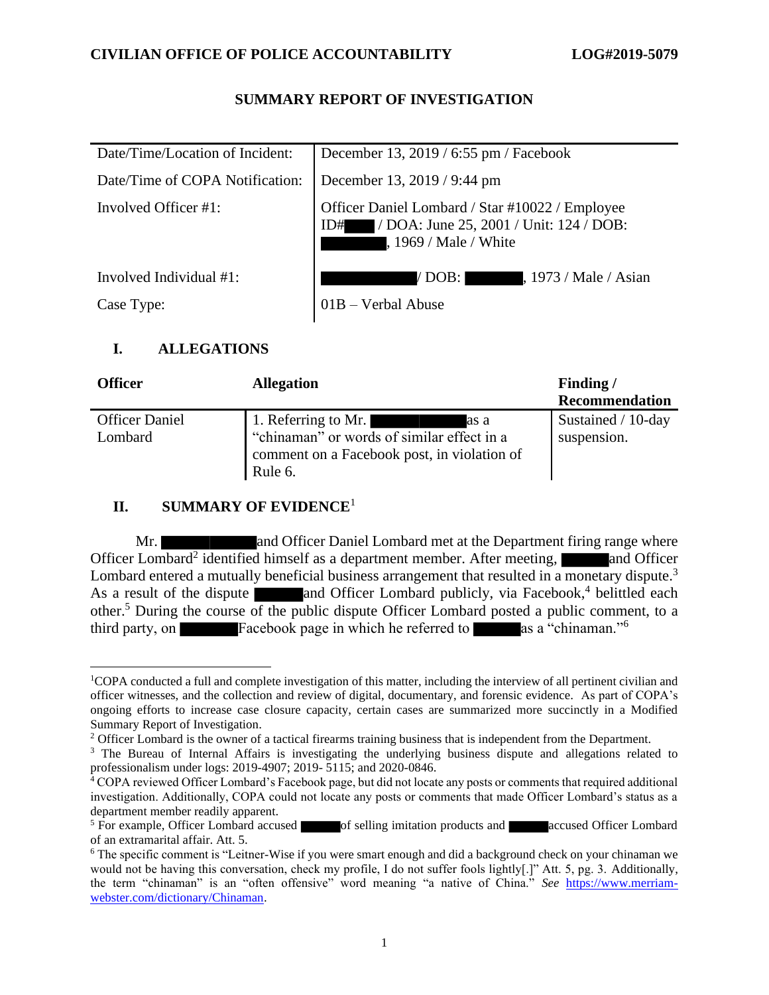# **SUMMARY REPORT OF INVESTIGATION**

| Date/Time/Location of Incident: | December 13, 2019 / 6:55 pm / Facebook                                                                                     |
|---------------------------------|----------------------------------------------------------------------------------------------------------------------------|
| Date/Time of COPA Notification: | December 13, 2019 / 9:44 pm                                                                                                |
| Involved Officer #1:            | Officer Daniel Lombard / Star #10022 / Employee<br>/ DOA: June 25, 2001 / Unit: 124 / DOB:<br>ID#<br>, 1969 / Male / White |
| Involved Individual #1:         | / DOB:  <br>, 1973 / Male / Asian                                                                                          |
| Case Type:                      | 01B - Verbal Abuse                                                                                                         |
|                                 |                                                                                                                            |

# **I. ALLEGATIONS**

| <b>Officer</b>                   | <b>Allegation</b>                                                                                                                   | Finding/                          |
|----------------------------------|-------------------------------------------------------------------------------------------------------------------------------------|-----------------------------------|
|                                  |                                                                                                                                     | Recommendation                    |
| <b>Officer Daniel</b><br>Lombard | 1. Referring to Mr.<br>as a<br>"chinaman" or words of similar effect in a<br>comment on a Facebook post, in violation of<br>Rule 6. | Sustained / 10-day<br>suspension. |

# **II. SUMMARY OF EVIDENCE**<sup>1</sup>

Mr. and Officer Daniel Lombard met at the Department firing range where Officer Lombard<sup>2</sup> identified himself as a department member. After meeting, and Officer Lombard entered a mutually beneficial business arrangement that resulted in a monetary dispute.<sup>3</sup> As a result of the dispute and Officer Lombard publicly, via Facebook,<sup>4</sup> belittled each other.<sup>5</sup> During the course of the public dispute Officer Lombard posted a public comment, to a third party, on Facebook page in which he referred to as a "chinaman."<sup>6</sup>

<sup>1</sup>COPA conducted a full and complete investigation of this matter, including the interview of all pertinent civilian and officer witnesses, and the collection and review of digital, documentary, and forensic evidence. As part of COPA's ongoing efforts to increase case closure capacity, certain cases are summarized more succinctly in a Modified Summary Report of Investigation.

<sup>&</sup>lt;sup>2</sup> Officer Lombard is the owner of a tactical firearms training business that is independent from the Department.

<sup>&</sup>lt;sup>3</sup> The Bureau of Internal Affairs is investigating the underlying business dispute and allegations related to professionalism under logs: 2019-4907; 2019- 5115; and 2020-0846.

<sup>&</sup>lt;sup>4</sup> COPA reviewed Officer Lombard's Facebook page, but did not locate any posts or comments that required additional investigation. Additionally, COPA could not locate any posts or comments that made Officer Lombard's status as a department member readily apparent.

<sup>&</sup>lt;sup>5</sup> For example, Officer Lombard accused of selling imitation products and accused Officer Lombard of an extramarital affair. Att. 5.

<sup>6</sup> The specific comment is "Leitner-Wise if you were smart enough and did a background check on your chinaman we would not be having this conversation, check my profile, I do not suffer fools lightly[.]" Att. 5, pg. 3. Additionally, the term "chinaman" is an "often offensive" word meaning "a native of China." *See* [https://www.merriam](https://www.merriam-webster.com/dictionary/Chinaman)[webster.com/dictionary/Chinaman.](https://www.merriam-webster.com/dictionary/Chinaman)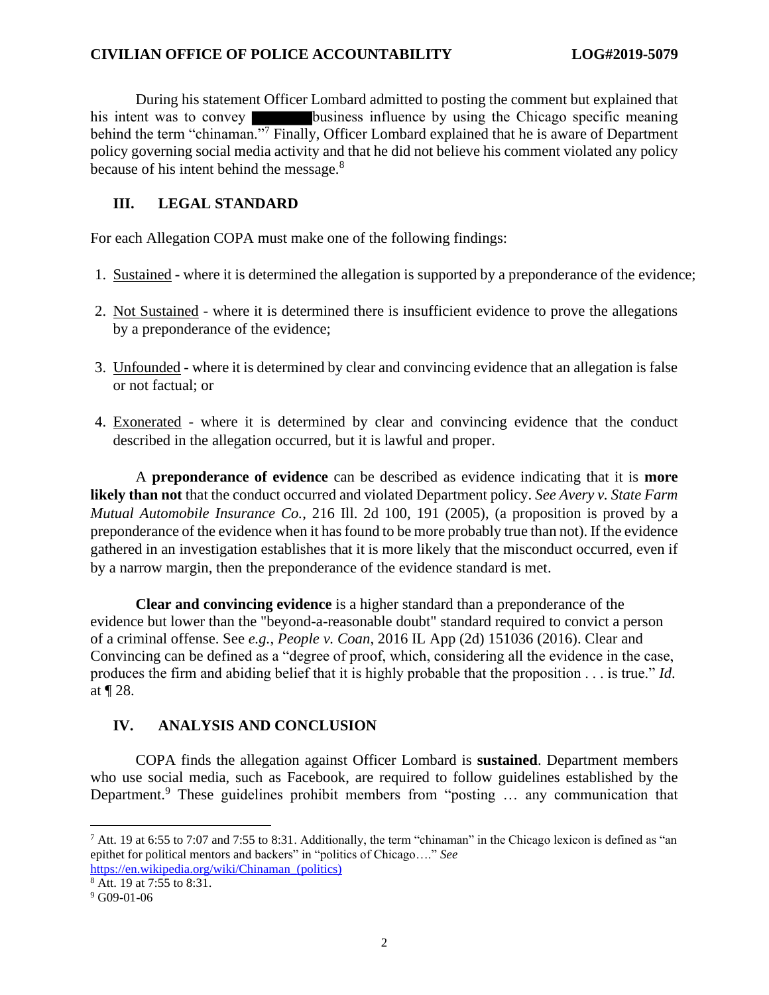#### **CIVILIAN OFFICE OF POLICE ACCOUNTABILITY LOG#2019-5079**

During his statement Officer Lombard admitted to posting the comment but explained that his intent was to convey business influence by using the Chicago specific meaning behind the term "chinaman."<sup>7</sup> Finally, Officer Lombard explained that he is aware of Department policy governing social media activity and that he did not believe his comment violated any policy because of his intent behind the message. $8<sup>8</sup>$ 

#### **III. LEGAL STANDARD**

For each Allegation COPA must make one of the following findings:

- 1. Sustained where it is determined the allegation is supported by a preponderance of the evidence;
- 2. Not Sustained where it is determined there is insufficient evidence to prove the allegations by a preponderance of the evidence;
- 3. Unfounded where it is determined by clear and convincing evidence that an allegation is false or not factual; or
- 4. Exonerated where it is determined by clear and convincing evidence that the conduct described in the allegation occurred, but it is lawful and proper.

A **preponderance of evidence** can be described as evidence indicating that it is **more likely than not** that the conduct occurred and violated Department policy. *See Avery v. State Farm Mutual Automobile Insurance Co.*, 216 Ill. 2d 100, 191 (2005), (a proposition is proved by a preponderance of the evidence when it has found to be more probably true than not). If the evidence gathered in an investigation establishes that it is more likely that the misconduct occurred, even if by a narrow margin, then the preponderance of the evidence standard is met.

**Clear and convincing evidence** is a higher standard than a preponderance of the evidence but lower than the "beyond-a-reasonable doubt" standard required to convict a person of a criminal offense. See *e.g.*, *People v. Coan*, 2016 IL App (2d) 151036 (2016). Clear and Convincing can be defined as a "degree of proof, which, considering all the evidence in the case, produces the firm and abiding belief that it is highly probable that the proposition . . . is true." *Id*. at ¶ 28.

# **IV. ANALYSIS AND CONCLUSION**

COPA finds the allegation against Officer Lombard is **sustained**. Department members who use social media, such as Facebook, are required to follow guidelines established by the Department.<sup>9</sup> These guidelines prohibit members from "posting ... any communication that

 $7$  Att. 19 at 6:55 to 7:07 and 7:55 to 8:31. Additionally, the term "chinaman" in the Chicago lexicon is defined as "an epithet for political mentors and backers" in "politics of Chicago…." *See* 

[https://en.wikipedia.org/wiki/Chinaman\\_\(politics\)](https://en.wikipedia.org/wiki/Chinaman_(politics)) <sup>8</sup> Att. 19 at 7:55 to 8:31.

 $9$  G09-01-06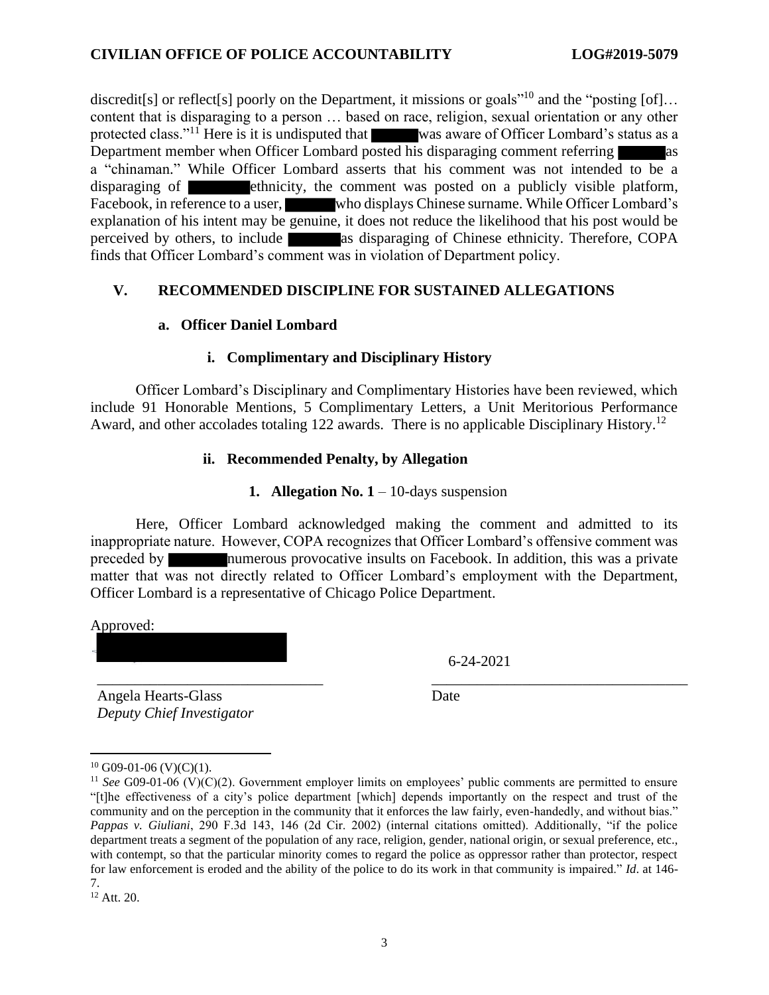discredit[s] or reflect[s] poorly on the Department, it missions or goals<sup>"10</sup> and the "posting [of]... content that is disparaging to a person … based on race, religion, sexual orientation or any other protected class."<sup>11</sup> Here is it is undisputed that was aware of Officer Lombard's status as a Department member when Officer Lombard posted his disparaging comment referring as a "chinaman." While Officer Lombard asserts that his comment was not intended to be a disparaging of **ethnicity**, the comment was posted on a publicly visible platform, Facebook, in reference to a user, who displays Chinese surname. While Officer Lombard's explanation of his intent may be genuine, it does not reduce the likelihood that his post would be perceived by others, to include as disparaging of Chinese ethnicity. Therefore, COPA finds that Officer Lombard's comment was in violation of Department policy.

# **V. RECOMMENDED DISCIPLINE FOR SUSTAINED ALLEGATIONS**

#### **a. Officer Daniel Lombard**

#### **i. Complimentary and Disciplinary History**

Officer Lombard's Disciplinary and Complimentary Histories have been reviewed, which include 91 Honorable Mentions, 5 Complimentary Letters, a Unit Meritorious Performance Award, and other accolades totaling 122 awards. There is no applicable Disciplinary History.<sup>12</sup>

#### **ii. Recommended Penalty, by Allegation**

#### **1. Allegation No.**  $1 - 10$ **-days suspension**

Here, Officer Lombard acknowledged making the comment and admitted to its inappropriate nature. However, COPA recognizes that Officer Lombard's offensive comment was preceded by numerous provocative insults on Facebook. In addition, this was a private matter that was not directly related to Officer Lombard's employment with the Department, Officer Lombard is a representative of Chicago Police Department.

\_\_\_\_\_\_\_\_\_\_\_\_\_\_\_\_\_\_\_\_\_\_\_\_\_\_\_\_\_\_ \_\_\_\_\_\_\_\_\_\_\_\_\_\_\_\_\_\_\_\_\_\_\_\_\_\_\_\_\_\_\_\_\_\_

Approved:

6-24-2021

Angela Hearts-Glass *Deputy Chief Investigator* Date

 $10$  G09-01-06 (V)(C)(1).

<sup>&</sup>lt;sup>11</sup> *See* G09-01-06 (V)(C)(2). Government employer limits on employees' public comments are permitted to ensure "[t]he effectiveness of a city's police department [which] depends importantly on the respect and trust of the community and on the perception in the community that it enforces the law fairly, even-handedly, and without bias." *Pappas v. Giuliani*, 290 F.3d 143, 146 (2d Cir. 2002) (internal citations omitted). Additionally, "if the police department treats a segment of the population of any race, religion, gender, national origin, or sexual preference, etc., with contempt, so that the particular minority comes to regard the police as oppressor rather than protector, respect for law enforcement is eroded and the ability of the police to do its work in that community is impaired." *Id*. at 146- 7.

<sup>12</sup> Att. 20.